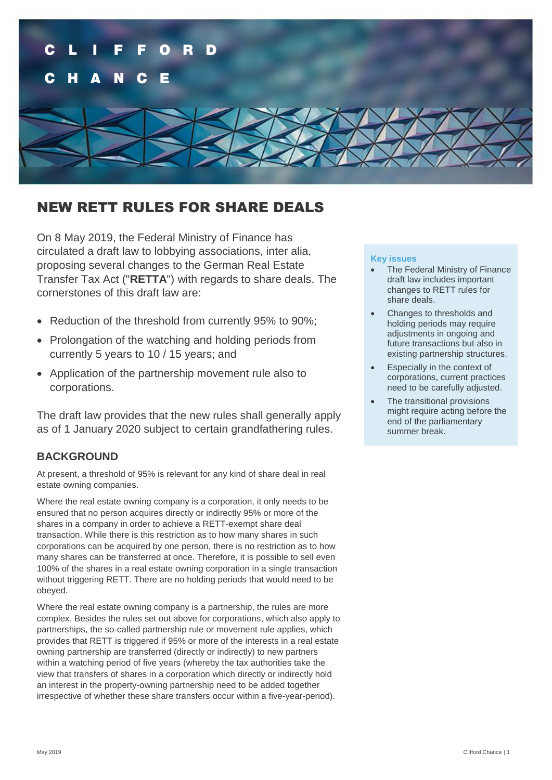

# NEW RETT RULES FOR SHARE DEALS

On 8 May 2019, the Federal Ministry of Finance has circulated a draft law to lobbying associations, inter alia, proposing several changes to the German Real Estate Transfer Tax Act ("**RETTA**") with regards to share deals. The cornerstones of this draft law are:

- Reduction of the threshold from currently 95% to 90%:
- Prolongation of the watching and holding periods from currently 5 years to 10 / 15 years; and
- Application of the partnership movement rule also to corporations.

The draft law provides that the new rules shall generally apply as of 1 January 2020 subject to certain grandfathering rules.

# **BACKGROUND**

At present, a threshold of 95% is relevant for any kind of share deal in real estate owning companies.

Where the real estate owning company is a corporation, it only needs to be ensured that no person acquires directly or indirectly 95% or more of the shares in a company in order to achieve a RETT-exempt share deal transaction. While there is this restriction as to how many shares in such corporations can be acquired by one person, there is no restriction as to how many shares can be transferred at once. Therefore, it is possible to sell even 100% of the shares in a real estate owning corporation in a single transaction without triggering RETT. There are no holding periods that would need to be obeyed.

Where the real estate owning company is a partnership, the rules are more complex. Besides the rules set out above for corporations, which also apply to partnerships, the so-called partnership rule or movement rule applies, which provides that RETT is triggered if 95% or more of the interests in a real estate owning partnership are transferred (directly or indirectly) to new partners within a watching period of five years (whereby the tax authorities take the view that transfers of shares in a corporation which directly or indirectly hold an interest in the property-owning partnership need to be added together irrespective of whether these share transfers occur within a five-year-period).

#### **Key issues**

- The Federal Ministry of Finance draft law includes important changes to RETT rules for share deals.
- Changes to thresholds and holding periods may require adjustments in ongoing and future transactions but also in existing partnership structures.
- Especially in the context of corporations, current practices need to be carefully adjusted.
- The transitional provisions might require acting before the end of the parliamentary summer break.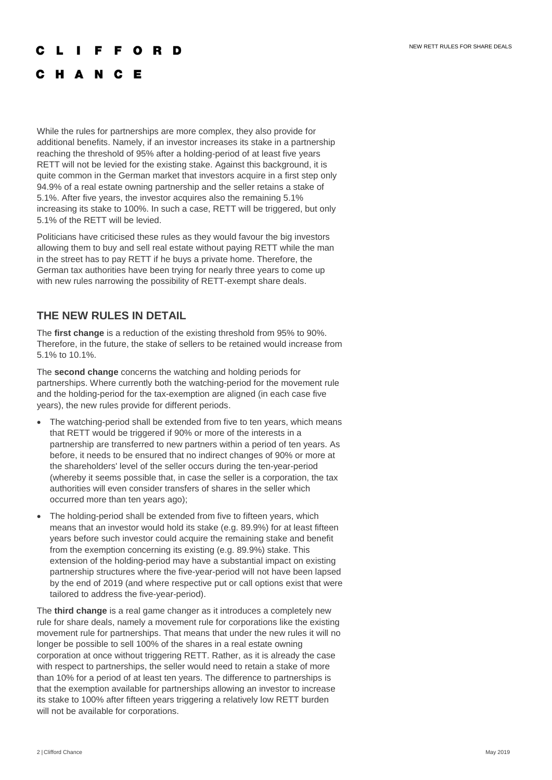#### **IFFORD**

# C H A N C E

While the rules for partnerships are more complex, they also provide for additional benefits. Namely, if an investor increases its stake in a partnership reaching the threshold of 95% after a holding-period of at least five years RETT will not be levied for the existing stake. Against this background, it is quite common in the German market that investors acquire in a first step only 94.9% of a real estate owning partnership and the seller retains a stake of 5.1%. After five years, the investor acquires also the remaining 5.1% increasing its stake to 100%. In such a case, RETT will be triggered, but only 5.1% of the RETT will be levied.

Politicians have criticised these rules as they would favour the big investors allowing them to buy and sell real estate without paying RETT while the man in the street has to pay RETT if he buys a private home. Therefore, the German tax authorities have been trying for nearly three years to come up with new rules narrowing the possibility of RETT-exempt share deals.

# **THE NEW RULES IN DETAIL**

The **first change** is a reduction of the existing threshold from 95% to 90%. Therefore, in the future, the stake of sellers to be retained would increase from 5.1% to 10.1%.

The **second change** concerns the watching and holding periods for partnerships. Where currently both the watching-period for the movement rule and the holding-period for the tax-exemption are aligned (in each case five years), the new rules provide for different periods.

- The watching-period shall be extended from five to ten years, which means that RETT would be triggered if 90% or more of the interests in a partnership are transferred to new partners within a period of ten years. As before, it needs to be ensured that no indirect changes of 90% or more at the shareholders' level of the seller occurs during the ten-year-period (whereby it seems possible that, in case the seller is a corporation, the tax authorities will even consider transfers of shares in the seller which occurred more than ten years ago);
- The holding-period shall be extended from five to fifteen years, which means that an investor would hold its stake (e.g. 89.9%) for at least fifteen years before such investor could acquire the remaining stake and benefit from the exemption concerning its existing (e.g. 89.9%) stake. This extension of the holding-period may have a substantial impact on existing partnership structures where the five-year-period will not have been lapsed by the end of 2019 (and where respective put or call options exist that were tailored to address the five-year-period).

The **third change** is a real game changer as it introduces a completely new rule for share deals, namely a movement rule for corporations like the existing movement rule for partnerships. That means that under the new rules it will no longer be possible to sell 100% of the shares in a real estate owning corporation at once without triggering RETT. Rather, as it is already the case with respect to partnerships, the seller would need to retain a stake of more than 10% for a period of at least ten years. The difference to partnerships is that the exemption available for partnerships allowing an investor to increase its stake to 100% after fifteen years triggering a relatively low RETT burden will not be available for corporations.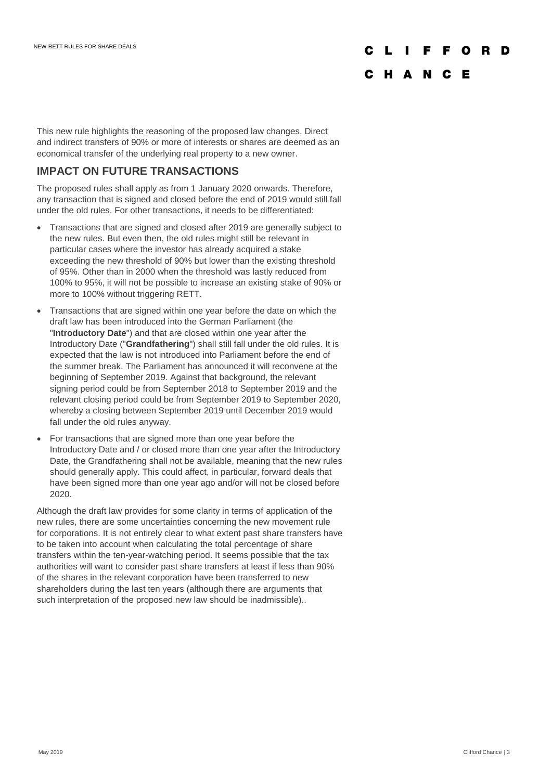# F F O R D

# C H A N C E

This new rule highlights the reasoning of the proposed law changes. Direct and indirect transfers of 90% or more of interests or shares are deemed as an economical transfer of the underlying real property to a new owner.

# **IMPACT ON FUTURE TRANSACTIONS**

The proposed rules shall apply as from 1 January 2020 onwards. Therefore, any transaction that is signed and closed before the end of 2019 would still fall under the old rules. For other transactions, it needs to be differentiated:

- Transactions that are signed and closed after 2019 are generally subject to the new rules. But even then, the old rules might still be relevant in particular cases where the investor has already acquired a stake exceeding the new threshold of 90% but lower than the existing threshold of 95%. Other than in 2000 when the threshold was lastly reduced from 100% to 95%, it will not be possible to increase an existing stake of 90% or more to 100% without triggering RETT.
- Transactions that are signed within one year before the date on which the draft law has been introduced into the German Parliament (the "**Introductory Date**") and that are closed within one year after the Introductory Date ("**Grandfathering**") shall still fall under the old rules. It is expected that the law is not introduced into Parliament before the end of the summer break. The Parliament has announced it will reconvene at the beginning of September 2019. Against that background, the relevant signing period could be from September 2018 to September 2019 and the relevant closing period could be from September 2019 to September 2020, whereby a closing between September 2019 until December 2019 would fall under the old rules anyway.
- For transactions that are signed more than one year before the Introductory Date and / or closed more than one year after the Introductory Date, the Grandfathering shall not be available, meaning that the new rules should generally apply. This could affect, in particular, forward deals that have been signed more than one year ago and/or will not be closed before 2020.

Although the draft law provides for some clarity in terms of application of the new rules, there are some uncertainties concerning the new movement rule for corporations. It is not entirely clear to what extent past share transfers have to be taken into account when calculating the total percentage of share transfers within the ten-year-watching period. It seems possible that the tax authorities will want to consider past share transfers at least if less than 90% of the shares in the relevant corporation have been transferred to new shareholders during the last ten years (although there are arguments that such interpretation of the proposed new law should be inadmissible)..